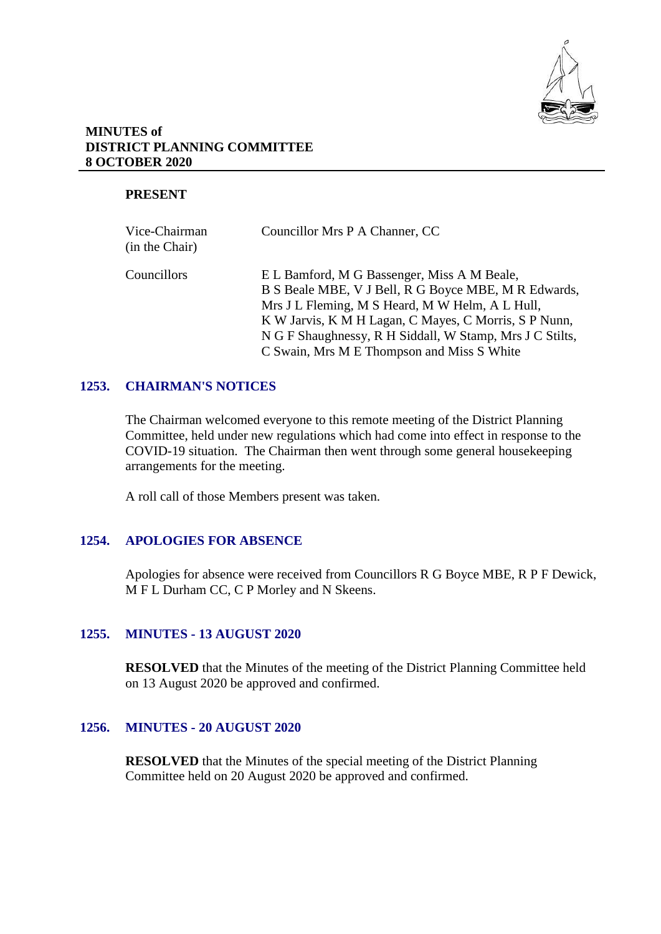

### **MINUTES of DISTRICT PLANNING COMMITTEE 8 OCTOBER 2020**

## **PRESENT**

| Vice-Chairman<br>(in the Chair) | Councillor Mrs P A Channer, CC                                                                                                                                                                                                                                              |
|---------------------------------|-----------------------------------------------------------------------------------------------------------------------------------------------------------------------------------------------------------------------------------------------------------------------------|
| Councillors                     | E L Bamford, M G Bassenger, Miss A M Beale,<br>B S Beale MBE, V J Bell, R G Boyce MBE, M R Edwards,<br>Mrs J L Fleming, M S Heard, M W Helm, A L Hull,<br>K W Jarvis, K M H Lagan, C Mayes, C Morris, S P Nunn,<br>N G F Shaughnessy, R H Siddall, W Stamp, Mrs J C Stilts, |
|                                 | C Swain, Mrs M E Thompson and Miss S White                                                                                                                                                                                                                                  |

### **1253. CHAIRMAN'S NOTICES**

The Chairman welcomed everyone to this remote meeting of the District Planning Committee, held under new regulations which had come into effect in response to the COVID-19 situation. The Chairman then went through some general housekeeping arrangements for the meeting.

A roll call of those Members present was taken.

# **1254. APOLOGIES FOR ABSENCE**

Apologies for absence were received from Councillors R G Boyce MBE, R P F Dewick, M F L Durham CC, C P Morley and N Skeens.

### **1255. MINUTES - 13 AUGUST 2020**

**RESOLVED** that the Minutes of the meeting of the District Planning Committee held on 13 August 2020 be approved and confirmed.

### **1256. MINUTES - 20 AUGUST 2020**

**RESOLVED** that the Minutes of the special meeting of the District Planning Committee held on 20 August 2020 be approved and confirmed.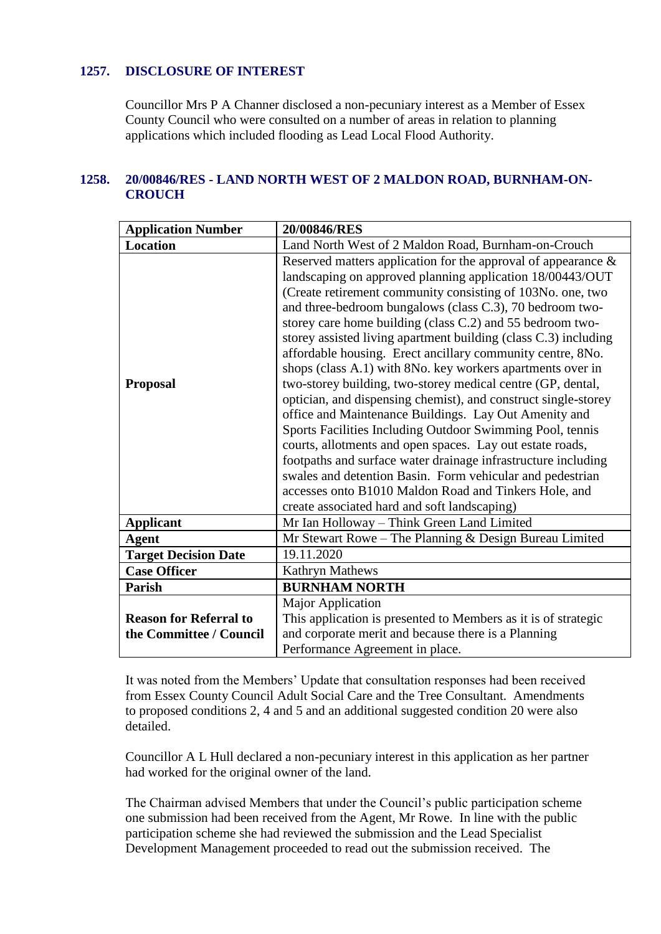## **1257. DISCLOSURE OF INTEREST**

Councillor Mrs P A Channer disclosed a non-pecuniary interest as a Member of Essex County Council who were consulted on a number of areas in relation to planning applications which included flooding as Lead Local Flood Authority.

# **1258. 20/00846/RES - LAND NORTH WEST OF 2 MALDON ROAD, BURNHAM-ON-CROUCH**

| <b>Application Number</b>                                | 20/00846/RES                                                                                                                                                                                                                                                                                                                                                                                                                                                                                                                                                                                                                                                                                                                                                                                                                                                                                                                                                                                                                                                                   |
|----------------------------------------------------------|--------------------------------------------------------------------------------------------------------------------------------------------------------------------------------------------------------------------------------------------------------------------------------------------------------------------------------------------------------------------------------------------------------------------------------------------------------------------------------------------------------------------------------------------------------------------------------------------------------------------------------------------------------------------------------------------------------------------------------------------------------------------------------------------------------------------------------------------------------------------------------------------------------------------------------------------------------------------------------------------------------------------------------------------------------------------------------|
| Location                                                 | Land North West of 2 Maldon Road, Burnham-on-Crouch                                                                                                                                                                                                                                                                                                                                                                                                                                                                                                                                                                                                                                                                                                                                                                                                                                                                                                                                                                                                                            |
| <b>Proposal</b>                                          | Reserved matters application for the approval of appearance $\&$<br>landscaping on approved planning application 18/00443/OUT<br>(Create retirement community consisting of 103No. one, two<br>and three-bedroom bungalows (class C.3), 70 bedroom two-<br>storey care home building (class C.2) and 55 bedroom two-<br>storey assisted living apartment building (class C.3) including<br>affordable housing. Erect ancillary community centre, 8No.<br>shops (class A.1) with 8No. key workers apartments over in<br>two-storey building, two-storey medical centre (GP, dental,<br>optician, and dispensing chemist), and construct single-storey<br>office and Maintenance Buildings. Lay Out Amenity and<br>Sports Facilities Including Outdoor Swimming Pool, tennis<br>courts, allotments and open spaces. Lay out estate roads,<br>footpaths and surface water drainage infrastructure including<br>swales and detention Basin. Form vehicular and pedestrian<br>accesses onto B1010 Maldon Road and Tinkers Hole, and<br>create associated hard and soft landscaping) |
| <b>Applicant</b>                                         | Mr Ian Holloway - Think Green Land Limited                                                                                                                                                                                                                                                                                                                                                                                                                                                                                                                                                                                                                                                                                                                                                                                                                                                                                                                                                                                                                                     |
| <b>Agent</b>                                             | Mr Stewart Rowe – The Planning $&$ Design Bureau Limited                                                                                                                                                                                                                                                                                                                                                                                                                                                                                                                                                                                                                                                                                                                                                                                                                                                                                                                                                                                                                       |
| <b>Target Decision Date</b>                              | 19.11.2020                                                                                                                                                                                                                                                                                                                                                                                                                                                                                                                                                                                                                                                                                                                                                                                                                                                                                                                                                                                                                                                                     |
| <b>Case Officer</b>                                      | <b>Kathryn Mathews</b>                                                                                                                                                                                                                                                                                                                                                                                                                                                                                                                                                                                                                                                                                                                                                                                                                                                                                                                                                                                                                                                         |
| Parish                                                   | <b>BURNHAM NORTH</b>                                                                                                                                                                                                                                                                                                                                                                                                                                                                                                                                                                                                                                                                                                                                                                                                                                                                                                                                                                                                                                                           |
| <b>Reason for Referral to</b><br>the Committee / Council | Major Application<br>This application is presented to Members as it is of strategic<br>and corporate merit and because there is a Planning<br>Performance Agreement in place.                                                                                                                                                                                                                                                                                                                                                                                                                                                                                                                                                                                                                                                                                                                                                                                                                                                                                                  |

It was noted from the Members' Update that consultation responses had been received from Essex County Council Adult Social Care and the Tree Consultant. Amendments to proposed conditions 2, 4 and 5 and an additional suggested condition 20 were also detailed.

Councillor A L Hull declared a non-pecuniary interest in this application as her partner had worked for the original owner of the land.

The Chairman advised Members that under the Council's public participation scheme one submission had been received from the Agent, Mr Rowe. In line with the public participation scheme she had reviewed the submission and the Lead Specialist Development Management proceeded to read out the submission received. The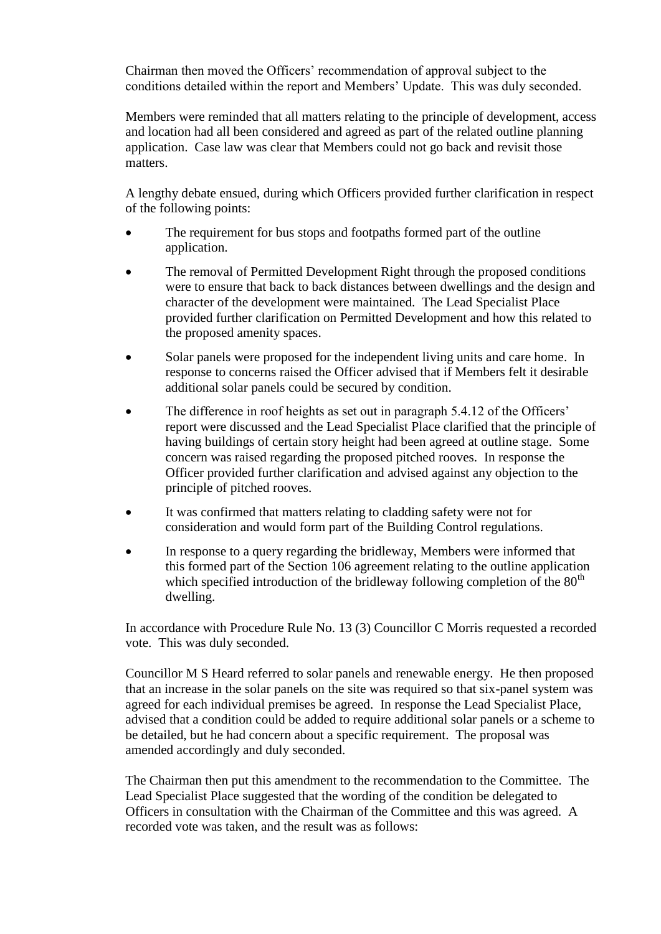Chairman then moved the Officers' recommendation of approval subject to the conditions detailed within the report and Members' Update. This was duly seconded.

Members were reminded that all matters relating to the principle of development, access and location had all been considered and agreed as part of the related outline planning application. Case law was clear that Members could not go back and revisit those matters.

A lengthy debate ensued, during which Officers provided further clarification in respect of the following points:

- The requirement for bus stops and footpaths formed part of the outline application.
- The removal of Permitted Development Right through the proposed conditions were to ensure that back to back distances between dwellings and the design and character of the development were maintained. The Lead Specialist Place provided further clarification on Permitted Development and how this related to the proposed amenity spaces.
- Solar panels were proposed for the independent living units and care home. In response to concerns raised the Officer advised that if Members felt it desirable additional solar panels could be secured by condition.
- The difference in roof heights as set out in paragraph 5.4.12 of the Officers' report were discussed and the Lead Specialist Place clarified that the principle of having buildings of certain story height had been agreed at outline stage. Some concern was raised regarding the proposed pitched rooves. In response the Officer provided further clarification and advised against any objection to the principle of pitched rooves.
- It was confirmed that matters relating to cladding safety were not for consideration and would form part of the Building Control regulations.
- In response to a query regarding the bridleway, Members were informed that this formed part of the Section 106 agreement relating to the outline application which specified introduction of the bridleway following completion of the  $80<sup>th</sup>$ dwelling.

In accordance with Procedure Rule No. 13 (3) Councillor C Morris requested a recorded vote. This was duly seconded.

Councillor M S Heard referred to solar panels and renewable energy. He then proposed that an increase in the solar panels on the site was required so that six-panel system was agreed for each individual premises be agreed. In response the Lead Specialist Place, advised that a condition could be added to require additional solar panels or a scheme to be detailed, but he had concern about a specific requirement. The proposal was amended accordingly and duly seconded.

The Chairman then put this amendment to the recommendation to the Committee. The Lead Specialist Place suggested that the wording of the condition be delegated to Officers in consultation with the Chairman of the Committee and this was agreed. A recorded vote was taken, and the result was as follows: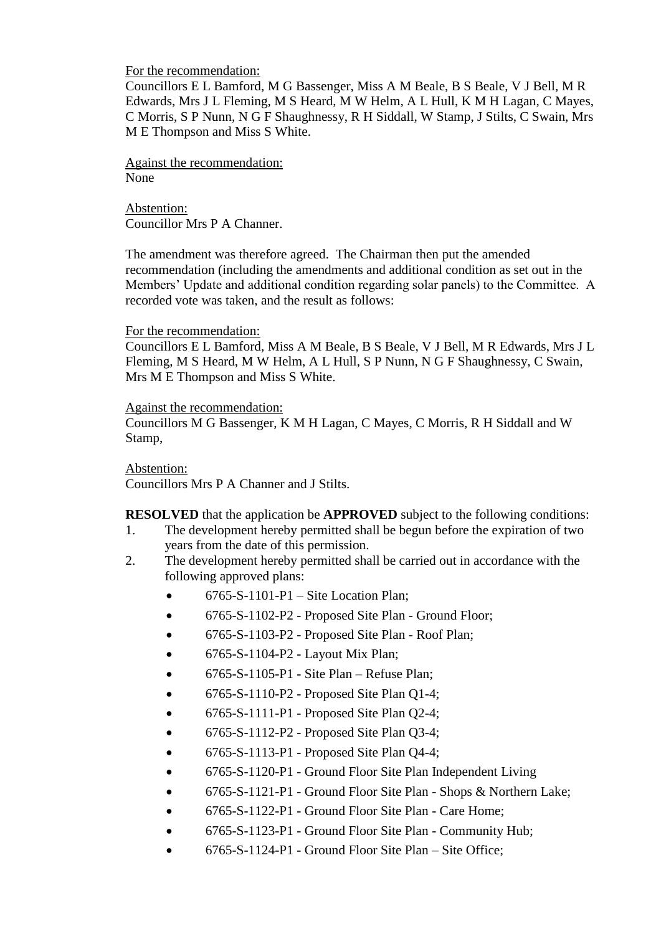### For the recommendation:

Councillors E L Bamford, M G Bassenger, Miss A M Beale, B S Beale, V J Bell, M R Edwards, Mrs J L Fleming, M S Heard, M W Helm, A L Hull, K M H Lagan, C Mayes, C Morris, S P Nunn, N G F Shaughnessy, R H Siddall, W Stamp, J Stilts, C Swain, Mrs M E Thompson and Miss S White.

Against the recommendation: None

Abstention: Councillor Mrs P A Channer.

The amendment was therefore agreed. The Chairman then put the amended recommendation (including the amendments and additional condition as set out in the Members' Update and additional condition regarding solar panels) to the Committee. A recorded vote was taken, and the result as follows:

#### For the recommendation:

Councillors E L Bamford, Miss A M Beale, B S Beale, V J Bell, M R Edwards, Mrs J L Fleming, M S Heard, M W Helm, A L Hull, S P Nunn, N G F Shaughnessy, C Swain, Mrs M E Thompson and Miss S White.

### Against the recommendation:

Councillors M G Bassenger, K M H Lagan, C Mayes, C Morris, R H Siddall and W Stamp,

### Abstention:

Councillors Mrs P A Channer and J Stilts.

**RESOLVED** that the application be **APPROVED** subject to the following conditions:

- 1. The development hereby permitted shall be begun before the expiration of two years from the date of this permission.
- 2. The development hereby permitted shall be carried out in accordance with the following approved plans:
	- $\bullet$  6765-S-1101-P1 Site Location Plan:
	- 6765-S-1102-P2 Proposed Site Plan Ground Floor;
	- 6765-S-1103-P2 Proposed Site Plan Roof Plan;
	- 6765-S-1104-P2 Layout Mix Plan;
	- $\bullet$  6765-S-1105-P1 Site Plan Refuse Plan;
	- $\bullet$  6765-S-1110-P2 Proposed Site Plan Q1-4;
	- $\bullet$  6765-S-1111-P1 Proposed Site Plan O2-4;
	- $\bullet$  6765-S-1112-P2 Proposed Site Plan Q3-4;
	- $\bullet$  6765-S-1113-P1 Proposed Site Plan Q4-4;
	- 6765-S-1120-P1 Ground Floor Site Plan Independent Living
	- 6765-S-1121-P1 Ground Floor Site Plan Shops & Northern Lake;
	- 6765-S-1122-P1 Ground Floor Site Plan Care Home;
	- 6765-S-1123-P1 Ground Floor Site Plan Community Hub;
	- 6765-S-1124-P1 Ground Floor Site Plan Site Office;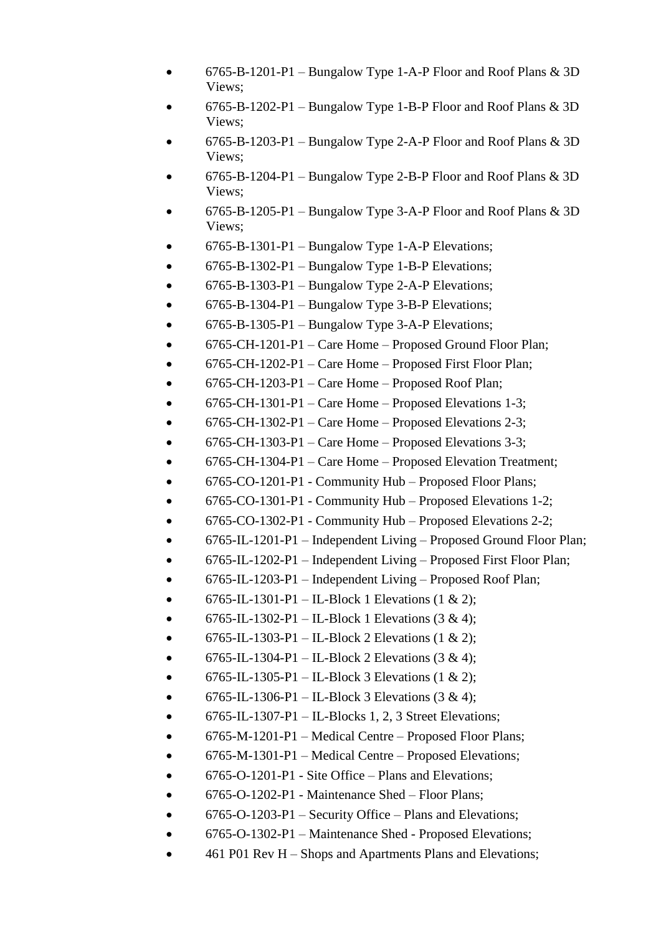- 6765-B-1201-P1 Bungalow Type 1-A-P Floor and Roof Plans & 3D Views;
- 6765-B-1202-P1 Bungalow Type 1-B-P Floor and Roof Plans & 3D Views;
- 6765-B-1203-P1 Bungalow Type 2-A-P Floor and Roof Plans & 3D Views;
- 6765-B-1204-P1 Bungalow Type 2-B-P Floor and Roof Plans & 3D Views;
- 6765-B-1205-P1 Bungalow Type 3-A-P Floor and Roof Plans & 3D Views;
- 6765-B-1301-P1 Bungalow Type 1-A-P Elevations;
- $\bullet$  6765-B-1302-P1 Bungalow Type 1-B-P Elevations;
- $\bullet$  6765-B-1303-P1 Bungalow Type 2-A-P Elevations;
- $\bullet$  6765-B-1304-P1 Bungalow Type 3-B-P Elevations;
- $\bullet$  6765-B-1305-P1 Bungalow Type 3-A-P Elevations;
- 6765-CH-1201-P1 Care Home Proposed Ground Floor Plan;
- 6765-CH-1202-P1 Care Home Proposed First Floor Plan;
- $\bullet$  6765-CH-1203-P1 Care Home Proposed Roof Plan;
- $\bullet$  6765-CH-1301-P1 Care Home Proposed Elevations 1-3;
- $\bullet$  6765-CH-1302-P1 Care Home Proposed Elevations 2-3;
- $\bullet$  6765-CH-1303-P1 Care Home Proposed Elevations 3-3;
- 6765-CH-1304-P1 Care Home Proposed Elevation Treatment;
- 6765-CO-1201-P1 Community Hub Proposed Floor Plans;
- 6765-CO-1301-P1 Community Hub Proposed Elevations 1-2;
- 6765-CO-1302-P1 Community Hub Proposed Elevations 2-2;
- 6765-IL-1201-P1 Independent Living Proposed Ground Floor Plan;
- 6765-IL-1202-P1 Independent Living Proposed First Floor Plan;
- 6765-IL-1203-P1 Independent Living Proposed Roof Plan;
- 6765-IL-1301-P1 IL-Block 1 Elevations (1 & 2);
- 6765-IL-1302-P1 IL-Block 1 Elevations  $(3 \& 4)$ ;
- 6765-IL-1303-P1 IL-Block 2 Elevations  $(1 \& 2)$ ;
- 6765-IL-1304-P1 IL-Block 2 Elevations  $(3 \& 4)$ ;
- 6765-IL-1305-P1 IL-Block 3 Elevations  $(1 \& 2)$ ;
- 6765-IL-1306-P1 IL-Block 3 Elevations  $(3 \& 4)$ ;
- $\bullet$  6765-IL-1307-P1 IL-Blocks 1, 2, 3 Street Elevations;
- 6765-M-1201-P1 Medical Centre Proposed Floor Plans;
- 6765-M-1301-P1 Medical Centre Proposed Elevations;
- 6765-O-1201-P1 Site Office Plans and Elevations:
- 6765-O-1202-P1 Maintenance Shed Floor Plans;
- 6765-O-1203-P1 Security Office Plans and Elevations;
- 6765-O-1302-P1 Maintenance Shed Proposed Elevations;
- 461 P01 Rev H Shops and Apartments Plans and Elevations;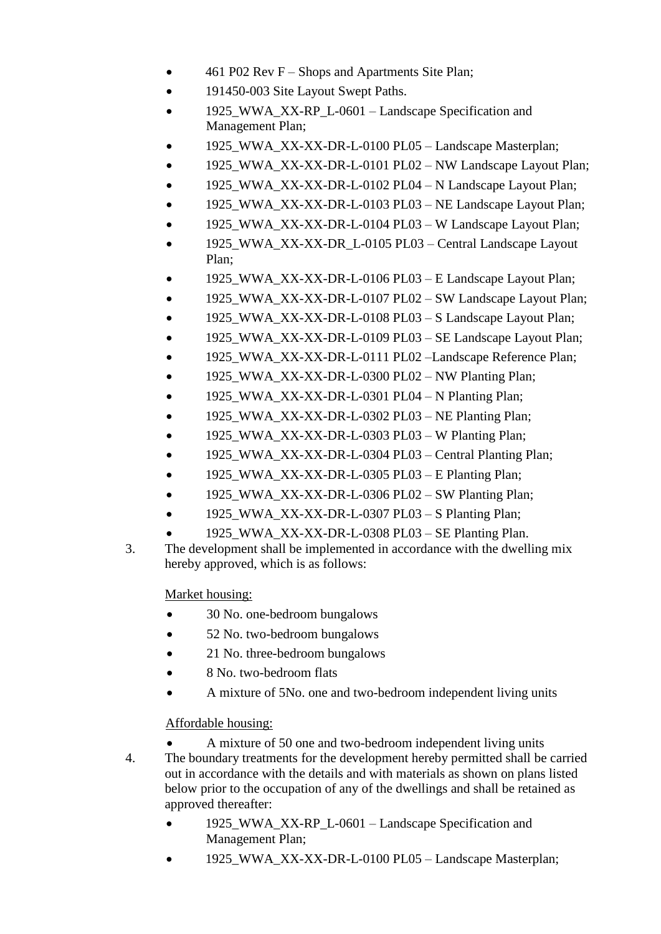- 461 P02 Rev F Shops and Apartments Site Plan;
- 191450-003 Site Layout Swept Paths.
- 1925 WWA XX-RP L-0601 Landscape Specification and Management Plan;
- 1925\_WWA\_XX-XX-DR-L-0100 PL05 Landscape Masterplan;
- 1925\_WWA\_XX-XX-DR-L-0101 PL02 NW Landscape Layout Plan:
- 1925\_WWA\_XX-XX-DR-L-0102 PL04 N Landscape Layout Plan;
- 1925 WWA XX-XX-DR-L-0103 PL03 NE Landscape Layout Plan;
- 1925\_WWA\_XX-XX-DR-L-0104 PL03 W Landscape Layout Plan;
- 1925\_WWA\_XX-XX-DR\_L-0105 PL03 Central Landscape Layout Plan;
- 1925\_WWA\_XX-XX-DR-L-0106 PL03 E Landscape Layout Plan;
- 1925 WWA XX-XX-DR-L-0107 PL02 SW Landscape Layout Plan;
- 1925\_WWA\_XX-XX-DR-L-0108 PL03 S Landscape Layout Plan;
- 1925\_WWA\_XX-XX-DR-L-0109 PL03 SE Landscape Layout Plan;
- 1925\_WWA\_XX-XX-DR-L-0111 PL02 –Landscape Reference Plan;
- 1925\_WWA\_XX-XX-DR-L-0300 PL02 NW Planting Plan;
- $\bullet$  1925 WWA XX-XX-DR-L-0301 PL04 N Planting Plan;
- $\bullet$  1925 WWA XX-XX-DR-L-0302 PL03 NE Planting Plan;
- 1925\_WWA\_XX-XX-DR-L-0303 PL03 W Planting Plan;
- 1925 WWA XX-XX-DR-L-0304 PL03 Central Planting Plan;
- 1925\_WWA\_XX-XX-DR-L-0305 PL03 E Planting Plan;
- 1925\_WWA\_XX-XX-DR-L-0306 PL02 SW Planting Plan;
- 1925\_WWA\_XX-XX-DR-L-0307 PL03 S Planting Plan;
- 1925\_WWA\_XX-XX-DR-L-0308 PL03 SE Planting Plan.
- 3. The development shall be implemented in accordance with the dwelling mix hereby approved, which is as follows:

Market housing:

- 30 No. one-bedroom bungalows
- 52 No. two-bedroom bungalows
- 21 No. three-bedroom bungalows
- 8 No. two-bedroom flats
- A mixture of 5No. one and two-bedroom independent living units

Affordable housing:

- A mixture of 50 one and two-bedroom independent living units 4. The boundary treatments for the development hereby permitted shall be carried out in accordance with the details and with materials as shown on plans listed below prior to the occupation of any of the dwellings and shall be retained as approved thereafter:
	- 1925\_WWA\_XX-RP\_L-0601 Landscape Specification and Management Plan;
	- 1925\_WWA\_XX-XX-DR-L-0100 PL05 Landscape Masterplan;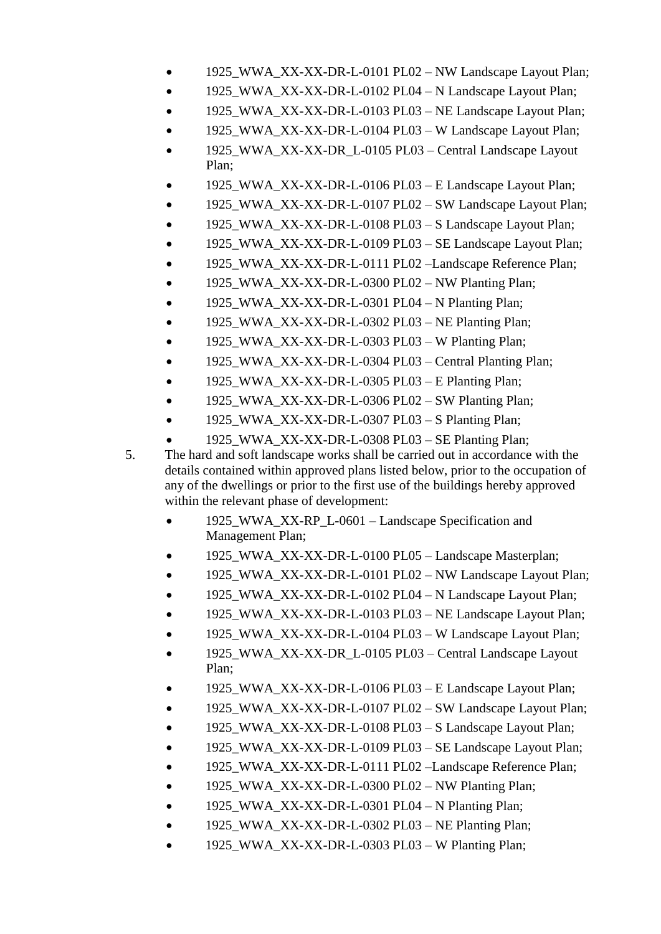- 1925\_WWA\_XX-XX-DR-L-0101 PL02 NW Landscape Layout Plan;
- 1925 WWA XX-XX-DR-L-0102 PL04 N Landscape Layout Plan;
- 1925\_WWA\_XX-XX-DR-L-0103 PL03 NE Landscape Layout Plan;
- 1925 WWA XX-XX-DR-L-0104 PL03 W Landscape Layout Plan;
- 1925\_WWA\_XX-XX-DR\_L-0105 PL03 Central Landscape Layout Plan;
- 1925\_WWA\_XX-XX-DR-L-0106 PL03 E Landscape Layout Plan;
- 1925 WWA XX-XX-DR-L-0107 PL02 SW Landscape Layout Plan;
- 1925 WWA\_XX-XX-DR-L-0108 PL03 S Landscape Layout Plan;
- 1925 WWA XX-XX-DR-L-0109 PL03 SE Landscape Layout Plan;
- 1925\_WWA\_XX-XX-DR-L-0111 PL02 –Landscape Reference Plan;
- 1925\_WWA\_XX-XX-DR-L-0300 PL02 NW Planting Plan;
- 1925\_WWA\_XX-XX-DR-L-0301 PL04 N Planting Plan;
- 1925\_WWA\_XX-XX-DR-L-0302 PL03 NE Planting Plan;
- 1925\_WWA\_XX-XX-DR-L-0303 PL03 W Planting Plan;
- 1925 WWA XX-XX-DR-L-0304 PL03 Central Planting Plan;
- $\bullet$  1925\_WWA\_XX-XX-DR-L-0305 PL03 E Planting Plan;
- 1925\_WWA\_XX-XX-DR-L-0306 PL02 SW Planting Plan;
- 1925\_WWA\_XX-XX-DR-L-0307 PL03 S Planting Plan;
- 1925\_WWA\_XX-XX-DR-L-0308 PL03 SE Planting Plan;
- 5. The hard and soft landscape works shall be carried out in accordance with the details contained within approved plans listed below, prior to the occupation of any of the dwellings or prior to the first use of the buildings hereby approved within the relevant phase of development:
	- 1925\_WWA\_XX-RP\_L-0601 Landscape Specification and Management Plan;
	- 1925\_WWA\_XX-XX-DR-L-0100 PL05 Landscape Masterplan;
	- 1925\_WWA\_XX-XX-DR-L-0101 PL02 NW Landscape Layout Plan;
	- 1925\_WWA\_XX-XX-DR-L-0102 PL04 N Landscape Layout Plan;
	- 1925 WWA XX-XX-DR-L-0103 PL03 NE Landscape Layout Plan;
	- 1925 WWA XX-XX-DR-L-0104 PL03 W Landscape Layout Plan;
	- 1925\_WWA\_XX-XX-DR\_L-0105 PL03 Central Landscape Layout Plan;
	- 1925\_WWA\_XX-XX-DR-L-0106 PL03 E Landscape Layout Plan;
	- 1925\_WWA\_XX-XX-DR-L-0107 PL02 SW Landscape Layout Plan;
	- 1925\_WWA\_XX-XX-DR-L-0108 PL03 S Landscape Layout Plan;
	- 1925\_WWA\_XX-XX-DR-L-0109 PL03 SE Landscape Layout Plan;
	- 1925\_WWA\_XX-XX-DR-L-0111 PL02 –Landscape Reference Plan;
	- $\bullet$  1925 WWA XX-XX-DR-L-0300 PL02 NW Planting Plan;
	- $\bullet$  1925\_WWA\_XX-XX-DR-L-0301 PL04 N Planting Plan;
	- 1925\_WWA\_XX-XX-DR-L-0302 PL03 NE Planting Plan;
	- $\bullet$  1925 WWA XX-XX-DR-L-0303 PL03 W Planting Plan;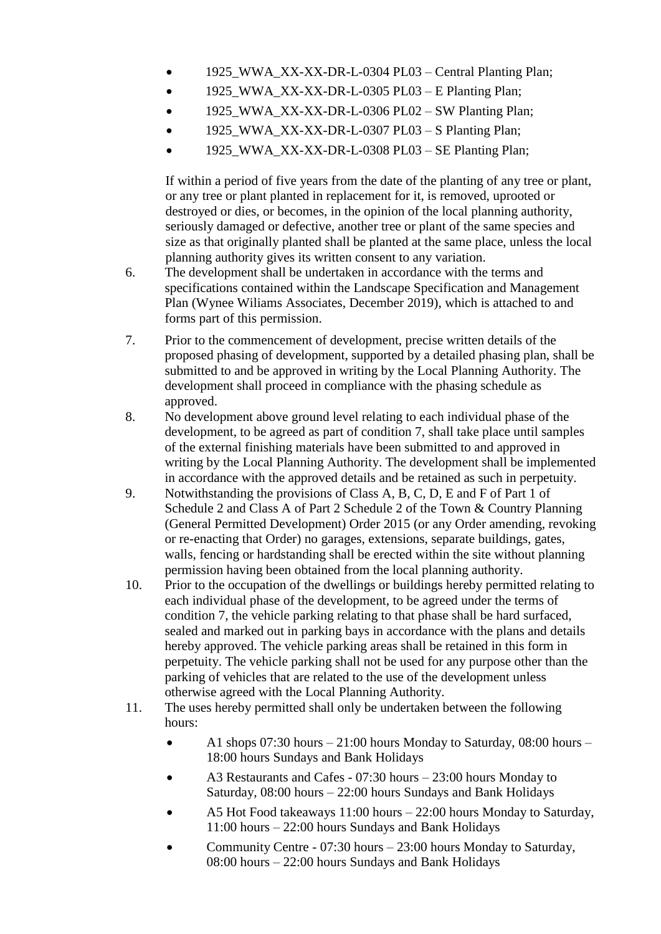- 1925 WWA XX-XX-DR-L-0304 PL03 Central Planting Plan;
- $\bullet$  1925 WWA XX-XX-DR-L-0305 PL03 E Planting Plan;
- $\bullet$  1925 WWA\_XX-XX-DR-L-0306 PL02 SW Planting Plan;
- $\bullet$  1925 WWA XX-XX-DR-L-0307 PL03 S Planting Plan:
- 1925\_WWA\_XX-XX-DR-L-0308 PL03 SE Planting Plan;

If within a period of five years from the date of the planting of any tree or plant, or any tree or plant planted in replacement for it, is removed, uprooted or destroyed or dies, or becomes, in the opinion of the local planning authority, seriously damaged or defective, another tree or plant of the same species and size as that originally planted shall be planted at the same place, unless the local planning authority gives its written consent to any variation.

- 6. The development shall be undertaken in accordance with the terms and specifications contained within the Landscape Specification and Management Plan (Wynee Wiliams Associates, December 2019), which is attached to and forms part of this permission.
- 7. Prior to the commencement of development, precise written details of the proposed phasing of development, supported by a detailed phasing plan, shall be submitted to and be approved in writing by the Local Planning Authority. The development shall proceed in compliance with the phasing schedule as approved.
- 8. No development above ground level relating to each individual phase of the development, to be agreed as part of condition 7, shall take place until samples of the external finishing materials have been submitted to and approved in writing by the Local Planning Authority. The development shall be implemented in accordance with the approved details and be retained as such in perpetuity.
- 9. Notwithstanding the provisions of Class A, B, C, D, E and F of Part 1 of Schedule 2 and Class A of Part 2 Schedule 2 of the Town & Country Planning (General Permitted Development) Order 2015 (or any Order amending, revoking or re-enacting that Order) no garages, extensions, separate buildings, gates, walls, fencing or hardstanding shall be erected within the site without planning permission having been obtained from the local planning authority.
- 10. Prior to the occupation of the dwellings or buildings hereby permitted relating to each individual phase of the development, to be agreed under the terms of condition 7, the vehicle parking relating to that phase shall be hard surfaced, sealed and marked out in parking bays in accordance with the plans and details hereby approved. The vehicle parking areas shall be retained in this form in perpetuity. The vehicle parking shall not be used for any purpose other than the parking of vehicles that are related to the use of the development unless otherwise agreed with the Local Planning Authority.
- 11. The uses hereby permitted shall only be undertaken between the following hours:
	- $\bullet$  A1 shops 07:30 hours 21:00 hours Monday to Saturday, 08:00 hours 18:00 hours Sundays and Bank Holidays
	- A3 Restaurants and Cafes 07:30 hours 23:00 hours Monday to Saturday, 08:00 hours – 22:00 hours Sundays and Bank Holidays
	- A5 Hot Food takeaways 11:00 hours 22:00 hours Monday to Saturday, 11:00 hours – 22:00 hours Sundays and Bank Holidays
	- Community Centre 07:30 hours 23:00 hours Monday to Saturday, 08:00 hours – 22:00 hours Sundays and Bank Holidays